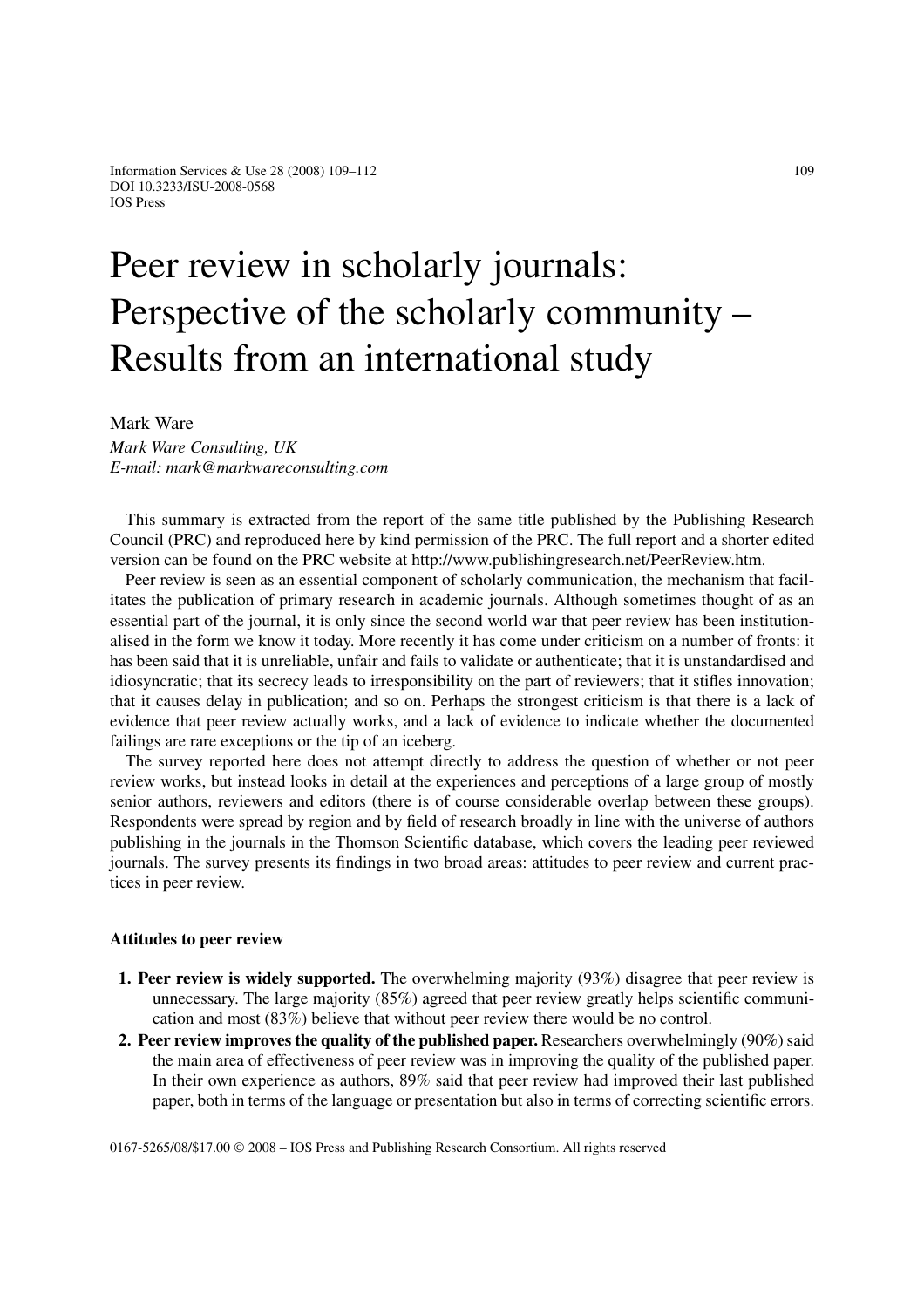## Peer review in scholarly journals: Perspective of the scholarly community – Results from an international study

Mark Ware

*Mark Ware Consulting, UK E-mail: mark@markwareconsulting.com*

This summary is extracted from the report of the same title published by the Publishing Research Council (PRC) and reproduced here by kind permission of the PRC. The full report and a shorter edited version can be found on the PRC website at http://www.publishingresearch.net/PeerReview.htm.

Peer review is seen as an essential component of scholarly communication, the mechanism that facilitates the publication of primary research in academic journals. Although sometimes thought of as an essential part of the journal, it is only since the second world war that peer review has been institutionalised in the form we know it today. More recently it has come under criticism on a number of fronts: it has been said that it is unreliable, unfair and fails to validate or authenticate; that it is unstandardised and idiosyncratic; that its secrecy leads to irresponsibility on the part of reviewers; that it stifles innovation; that it causes delay in publication; and so on. Perhaps the strongest criticism is that there is a lack of evidence that peer review actually works, and a lack of evidence to indicate whether the documented failings are rare exceptions or the tip of an iceberg.

The survey reported here does not attempt directly to address the question of whether or not peer review works, but instead looks in detail at the experiences and perceptions of a large group of mostly senior authors, reviewers and editors (there is of course considerable overlap between these groups). Respondents were spread by region and by field of research broadly in line with the universe of authors publishing in the journals in the Thomson Scientific database, which covers the leading peer reviewed journals. The survey presents its findings in two broad areas: attitudes to peer review and current practices in peer review.

## **Attitudes to peer review**

- **1. Peer review is widely supported.** The overwhelming majority (93%) disagree that peer review is unnecessary. The large majority (85%) agreed that peer review greatly helps scientific communication and most (83%) believe that without peer review there would be no control.
- **2. Peer review improves the quality of the published paper.** Researchers overwhelmingly (90%) said the main area of effectiveness of peer review was in improving the quality of the published paper. In their own experience as authors, 89% said that peer review had improved their last published paper, both in terms of the language or presentation but also in terms of correcting scientific errors.

0167-5265/08/\$17.00 © 2008 – IOS Press and Publishing Research Consortium. All rights reserved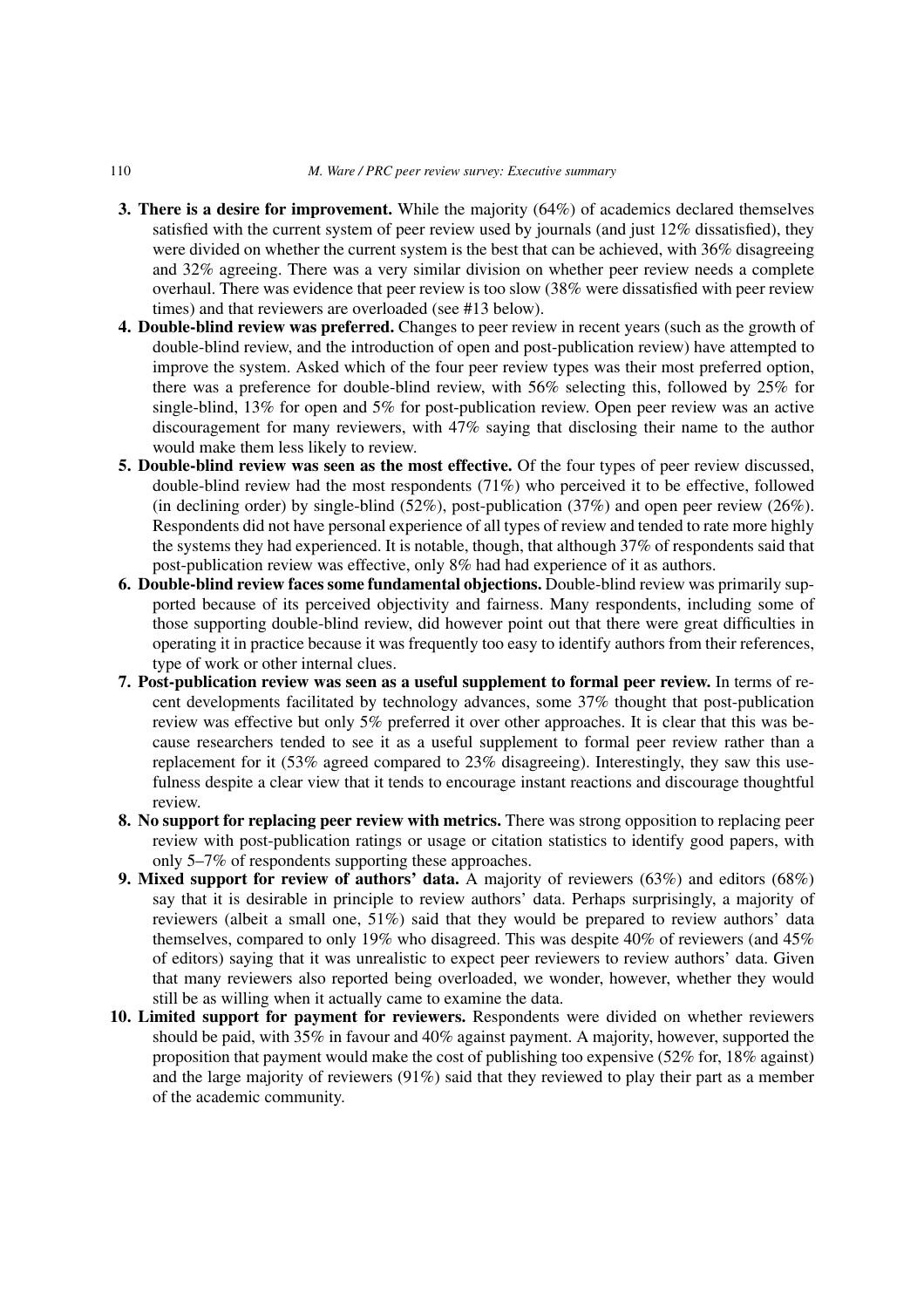- **3. There is a desire for improvement.** While the majority (64%) of academics declared themselves satisfied with the current system of peer review used by journals (and just 12% dissatisfied), they were divided on whether the current system is the best that can be achieved, with 36% disagreeing and 32% agreeing. There was a very similar division on whether peer review needs a complete overhaul. There was evidence that peer review is too slow (38% were dissatisfied with peer review times) and that reviewers are overloaded (see #13 below).
- **4. Double-blind review was preferred.** Changes to peer review in recent years (such as the growth of double-blind review, and the introduction of open and post-publication review) have attempted to improve the system. Asked which of the four peer review types was their most preferred option, there was a preference for double-blind review, with 56% selecting this, followed by 25% for single-blind, 13% for open and 5% for post-publication review. Open peer review was an active discouragement for many reviewers, with 47% saying that disclosing their name to the author would make them less likely to review.
- **5. Double-blind review was seen as the most effective.** Of the four types of peer review discussed, double-blind review had the most respondents (71%) who perceived it to be effective, followed (in declining order) by single-blind  $(52\%)$ , post-publication  $(37\%)$  and open peer review  $(26\%)$ . Respondents did not have personal experience of all types of review and tended to rate more highly the systems they had experienced. It is notable, though, that although 37% of respondents said that post-publication review was effective, only 8% had had experience of it as authors.
- **6. Double-blind review faces some fundamental objections.** Double-blind review was primarily supported because of its perceived objectivity and fairness. Many respondents, including some of those supporting double-blind review, did however point out that there were great difficulties in operating it in practice because it was frequently too easy to identify authors from their references, type of work or other internal clues.
- **7. Post-publication review was seen as a useful supplement to formal peer review.** In terms of recent developments facilitated by technology advances, some 37% thought that post-publication review was effective but only 5% preferred it over other approaches. It is clear that this was because researchers tended to see it as a useful supplement to formal peer review rather than a replacement for it (53% agreed compared to 23% disagreeing). Interestingly, they saw this usefulness despite a clear view that it tends to encourage instant reactions and discourage thoughtful review.
- **8. No support for replacing peer review with metrics.** There was strong opposition to replacing peer review with post-publication ratings or usage or citation statistics to identify good papers, with only 5–7% of respondents supporting these approaches.
- **9. Mixed support for review of authors' data.** A majority of reviewers (63%) and editors (68%) say that it is desirable in principle to review authors' data. Perhaps surprisingly, a majority of reviewers (albeit a small one, 51%) said that they would be prepared to review authors' data themselves, compared to only 19% who disagreed. This was despite 40% of reviewers (and 45% of editors) saying that it was unrealistic to expect peer reviewers to review authors' data. Given that many reviewers also reported being overloaded, we wonder, however, whether they would still be as willing when it actually came to examine the data.
- **10. Limited support for payment for reviewers.** Respondents were divided on whether reviewers should be paid, with 35% in favour and 40% against payment. A majority, however, supported the proposition that payment would make the cost of publishing too expensive (52% for, 18% against) and the large majority of reviewers (91%) said that they reviewed to play their part as a member of the academic community.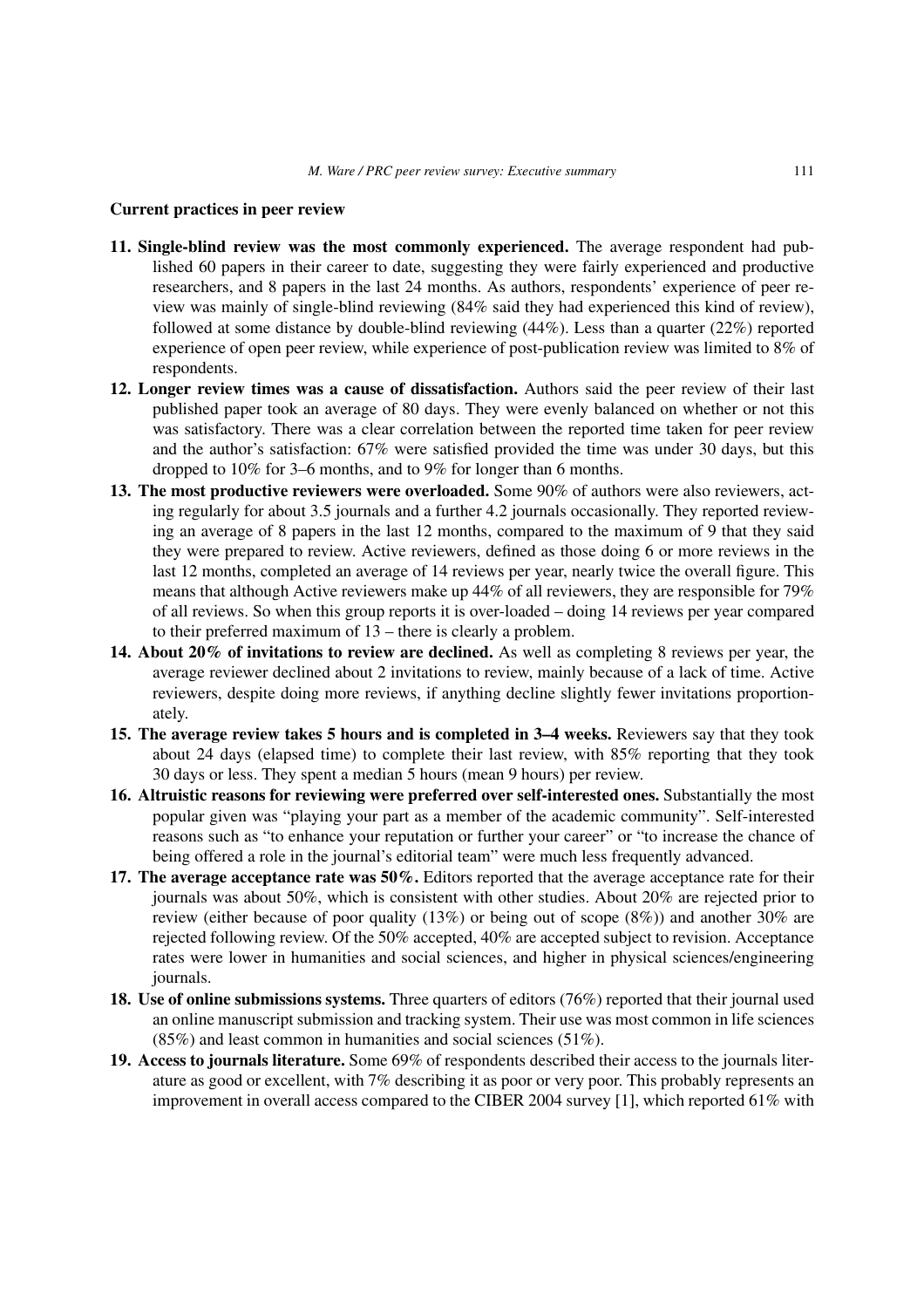## **Current practices in peer review**

- **11. Single-blind review was the most commonly experienced.** The average respondent had published 60 papers in their career to date, suggesting they were fairly experienced and productive researchers, and 8 papers in the last 24 months. As authors, respondents' experience of peer review was mainly of single-blind reviewing (84% said they had experienced this kind of review), followed at some distance by double-blind reviewing (44%). Less than a quarter (22%) reported experience of open peer review, while experience of post-publication review was limited to 8% of respondents.
- **12. Longer review times was a cause of dissatisfaction.** Authors said the peer review of their last published paper took an average of 80 days. They were evenly balanced on whether or not this was satisfactory. There was a clear correlation between the reported time taken for peer review and the author's satisfaction: 67% were satisfied provided the time was under 30 days, but this dropped to 10% for 3–6 months, and to 9% for longer than 6 months.
- **13. The most productive reviewers were overloaded.** Some 90% of authors were also reviewers, acting regularly for about 3.5 journals and a further 4.2 journals occasionally. They reported reviewing an average of 8 papers in the last 12 months, compared to the maximum of 9 that they said they were prepared to review. Active reviewers, defined as those doing 6 or more reviews in the last 12 months, completed an average of 14 reviews per year, nearly twice the overall figure. This means that although Active reviewers make up 44% of all reviewers, they are responsible for 79% of all reviews. So when this group reports it is over-loaded – doing 14 reviews per year compared to their preferred maximum of 13 – there is clearly a problem.
- **14. About 20% of invitations to review are declined.** As well as completing 8 reviews per year, the average reviewer declined about 2 invitations to review, mainly because of a lack of time. Active reviewers, despite doing more reviews, if anything decline slightly fewer invitations proportionately.
- **15. The average review takes 5 hours and is completed in 3–4 weeks.** Reviewers say that they took about 24 days (elapsed time) to complete their last review, with 85% reporting that they took 30 days or less. They spent a median 5 hours (mean 9 hours) per review.
- **16. Altruistic reasons for reviewing were preferred over self-interested ones.** Substantially the most popular given was "playing your part as a member of the academic community". Self-interested reasons such as "to enhance your reputation or further your career" or "to increase the chance of being offered a role in the journal's editorial team" were much less frequently advanced.
- **17. The average acceptance rate was 50%.** Editors reported that the average acceptance rate for their journals was about 50%, which is consistent with other studies. About 20% are rejected prior to review (either because of poor quality (13%) or being out of scope (8%)) and another 30% are rejected following review. Of the 50% accepted, 40% are accepted subject to revision. Acceptance rates were lower in humanities and social sciences, and higher in physical sciences/engineering journals.
- **18. Use of online submissions systems.** Three quarters of editors (76%) reported that their journal used an online manuscript submission and tracking system. Their use was most common in life sciences (85%) and least common in humanities and social sciences (51%).
- **19. Access to journals literature.** Some 69% of respondents described their access to the journals literature as good or excellent, with 7% describing it as poor or very poor. This probably represents an improvement in overall access compared to the CIBER 2004 survey [1], which reported 61% with